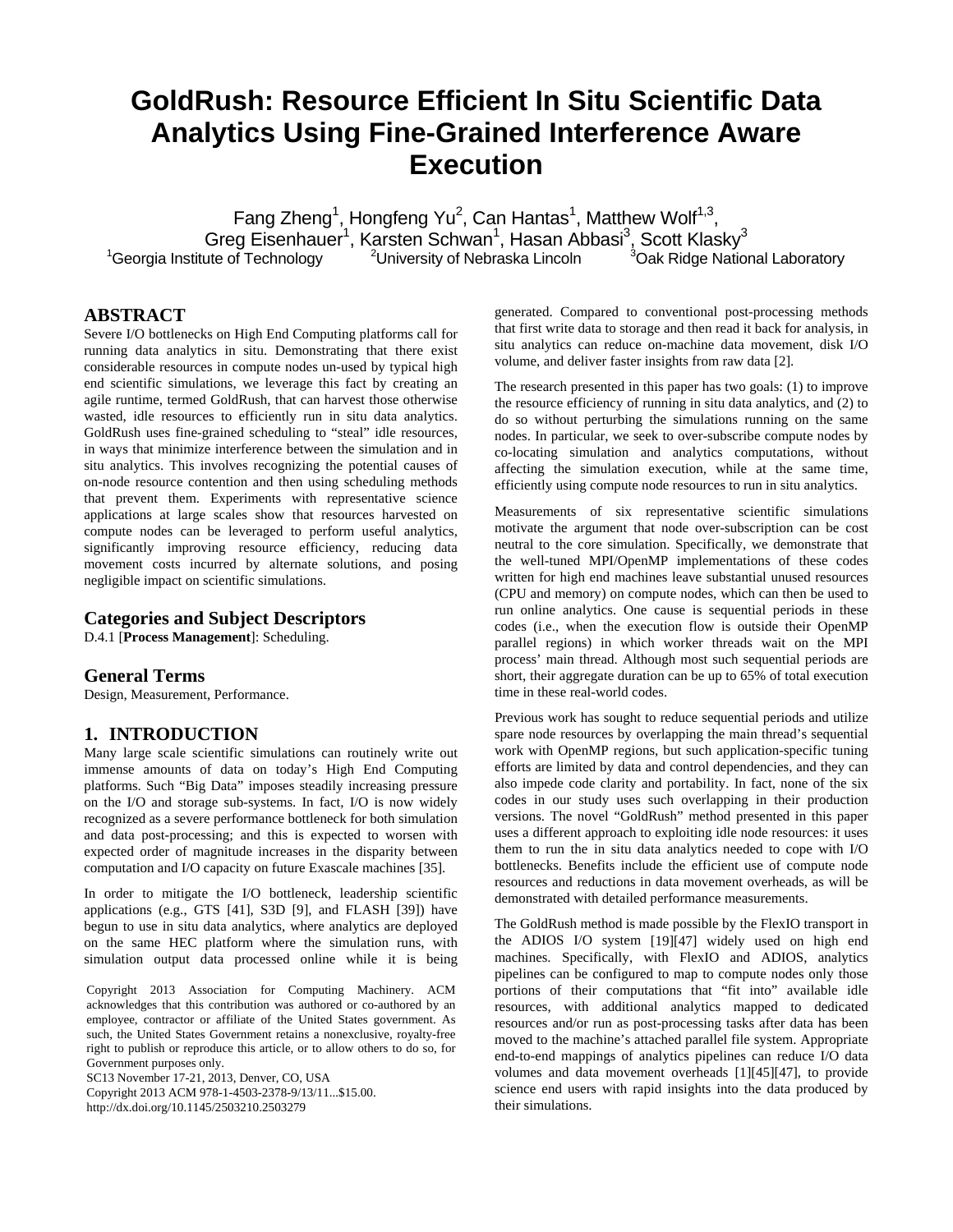# **GoldRush: Resource Efficient In Situ Scientific Data Analytics Using Fine-Grained Interference Aware Execution**

Fang Zheng<sup>1</sup>, Hongfeng Yu<sup>2</sup>, Can Hantas<sup>1</sup>, Matthew Wolf<sup>1,3</sup>, Greg Eisenhauer<sup>1</sup>, Karsten Schwan<sup>1</sup>, Hasan Abbasi<sup>3</sup>, Scott Klasky<sup>3</sup>  $1$ <sup>1</sup>Georgia Institute of Technology  $2$ <sup>2</sup>University of Nebraska Lincoln <sup>3</sup>Oak Ridge National Laboratory

## **ABSTRACT**

Severe I/O bottlenecks on High End Computing platforms call for running data analytics in situ. Demonstrating that there exist considerable resources in compute nodes un-used by typical high end scientific simulations, we leverage this fact by creating an agile runtime, termed GoldRush, that can harvest those otherwise wasted, idle resources to efficiently run in situ data analytics. GoldRush uses fine-grained scheduling to "steal" idle resources, in ways that minimize interference between the simulation and in situ analytics. This involves recognizing the potential causes of on-node resource contention and then using scheduling methods that prevent them. Experiments with representative science applications at large scales show that resources harvested on compute nodes can be leveraged to perform useful analytics, significantly improving resource efficiency, reducing data movement costs incurred by alternate solutions, and posing negligible impact on scientific simulations.

## **Categories and Subject Descriptors**

D.4.1 [**Process Management**]: Scheduling.

#### **General Terms**

Design, Measurement, Performance.

## **1. INTRODUCTION**

Many large scale scientific simulations can routinely write out immense amounts of data on today's High End Computing platforms. Such "Big Data" imposes steadily increasing pressure on the I/O and storage sub-systems. In fact, I/O is now widely recognized as a severe performance bottleneck for both simulation and data post-processing; and this is expected to worsen with expected order of magnitude increases in the disparity between computation and I/O capacity on future Exascale machines [\[35\].](#page-11-0)

In order to mitigate the I/O bottleneck, leadership scientific applications (e.g., GTS [\[41\],](#page-11-1) S3D [\[9\],](#page-10-0) and FLASH [\[39\]\)](#page-11-2) have begun to use in situ data analytics, where analytics are deployed on the same HEC platform where the simulation runs, with simulation output data processed online while it is being

Copyright 2013 Association for Computing Machinery. ACM acknowledges that this contribution was authored or co-authored by an employee, contractor or affiliate of the United States government. As such, the United States Government retains a nonexclusive, royalty-free right to publish or reproduce this article, or to allow others to do so, for Government purposes only.

SC13 November 17-21, 2013, Denver, CO, USA

Copyright 2013 ACM 978-1-4503-2378-9/13/11...\$15.00. http://dx.doi.org/10.1145/2503210.2503279

generated. Compared to conventional post-processing methods that first write data to storage and then read it back for analysis, in situ analytics can reduce on-machine data movement, disk I/O volume, and deliver faster insights from raw data [\[2\].](#page-10-1)

The research presented in this paper has two goals: (1) to improve the resource efficiency of running in situ data analytics, and (2) to do so without perturbing the simulations running on the same nodes. In particular, we seek to over-subscribe compute nodes by co-locating simulation and analytics computations, without affecting the simulation execution, while at the same time, efficiently using compute node resources to run in situ analytics.

Measurements of six representative scientific simulations motivate the argument that node over-subscription can be cost neutral to the core simulation. Specifically, we demonstrate that the well-tuned MPI/OpenMP implementations of these codes written for high end machines leave substantial unused resources (CPU and memory) on compute nodes, which can then be used to run online analytics. One cause is sequential periods in these codes (i.e., when the execution flow is outside their OpenMP parallel regions) in which worker threads wait on the MPI process' main thread. Although most such sequential periods are short, their aggregate duration can be up to 65% of total execution time in these real-world codes.

Previous work has sought to reduce sequential periods and utilize spare node resources by overlapping the main thread's sequential work with OpenMP regions, but such application-specific tuning efforts are limited by data and control dependencies, and they can also impede code clarity and portability. In fact, none of the six codes in our study uses such overlapping in their production versions. The novel "GoldRush" method presented in this paper uses a different approach to exploiting idle node resources: it uses them to run the in situ data analytics needed to cope with I/O bottlenecks. Benefits include the efficient use of compute node resources and reductions in data movement overheads, as will be demonstrated with detailed performance measurements.

The GoldRush method is made possible by the FlexIO transport in the ADIOS I/O system [\[19\]\[47\]](#page-11-3) widely used on high end machines. Specifically, with FlexIO and ADIOS, analytics pipelines can be configured to map to compute nodes only those portions of their computations that "fit into" available idle resources, with additional analytics mapped to dedicated resources and/or run as post-processing tasks after data has been moved to the machine's attached parallel file system. Appropriate end-to-end mappings of analytics pipelines can reduce I/O data volumes and data movement overheads [\[1\]\[45\]](#page-10-2)[\[47\],](#page-11-4) to provide science end users with rapid insights into the data produced by their simulations.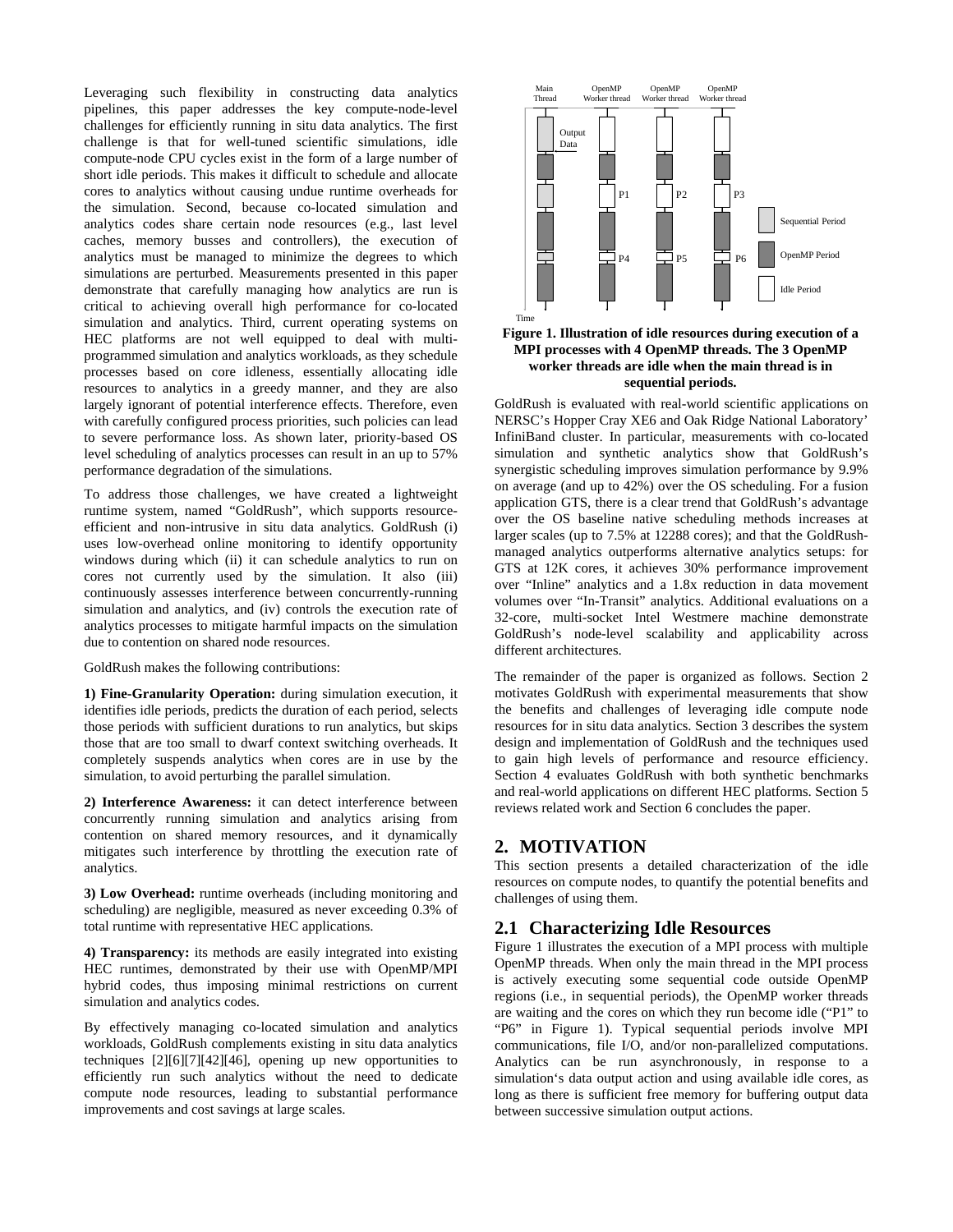Leveraging such flexibility in constructing data analytics pipelines, this paper addresses the key compute-node-level challenges for efficiently running in situ data analytics. The first challenge is that for well-tuned scientific simulations, idle compute-node CPU cycles exist in the form of a large number of short idle periods. This makes it difficult to schedule and allocate cores to analytics without causing undue runtime overheads for the simulation. Second, because co-located simulation and analytics codes share certain node resources (e.g., last level caches, memory busses and controllers), the execution of analytics must be managed to minimize the degrees to which simulations are perturbed. Measurements presented in this paper demonstrate that carefully managing how analytics are run is critical to achieving overall high performance for co-located simulation and analytics. Third, current operating systems on HEC platforms are not well equipped to deal with multiprogrammed simulation and analytics workloads, as they schedule processes based on core idleness, essentially allocating idle resources to analytics in a greedy manner, and they are also largely ignorant of potential interference effects. Therefore, even with carefully configured process priorities, such policies can lead to severe performance loss. As shown later, priority-based OS level scheduling of analytics processes can result in an up to 57% performance degradation of the simulations.

To address those challenges, we have created a lightweight runtime system, named "GoldRush", which supports resourceefficient and non-intrusive in situ data analytics. GoldRush (i) uses low-overhead online monitoring to identify opportunity windows during which (ii) it can schedule analytics to run on cores not currently used by the simulation. It also (iii) continuously assesses interference between concurrently-running simulation and analytics, and (iv) controls the execution rate of analytics processes to mitigate harmful impacts on the simulation due to contention on shared node resources.

GoldRush makes the following contributions:

**1) Fine-Granularity Operation:** during simulation execution, it identifies idle periods, predicts the duration of each period, selects those periods with sufficient durations to run analytics, but skips those that are too small to dwarf context switching overheads. It completely suspends analytics when cores are in use by the simulation, to avoid perturbing the parallel simulation.

**2) Interference Awareness:** it can detect interference between concurrently running simulation and analytics arising from contention on shared memory resources, and it dynamically mitigates such interference by throttling the execution rate of analytics.

**3) Low Overhead:** runtime overheads (including monitoring and scheduling) are negligible, measured as never exceeding 0.3% of total runtime with representative HEC applications.

**4) Transparency:** its methods are easily integrated into existing HEC runtimes, demonstrated by their use with OpenMP/MPI hybrid codes, thus imposing minimal restrictions on current simulation and analytics codes.

By effectively managing co-located simulation and analytics workloads, GoldRush complements existing in situ data analytics techniques [\[2\]\[6\]](#page-10-1)[\[7\]\[42\]](#page-10-3)[\[46\],](#page-11-5) opening up new opportunities to efficiently run such analytics without the need to dedicate compute node resources, leading to substantial performance improvements and cost savings at large scales.



#### **Figure 1. Illustration of idle resources during execution of a MPI processes with 4 OpenMP threads. The 3 OpenMP worker threads are idle when the main thread is in sequential periods.**

GoldRush is evaluated with real-world scientific applications on NERSC's Hopper Cray XE6 and Oak Ridge National Laboratory' InfiniBand cluster. In particular, measurements with co-located simulation and synthetic analytics show that GoldRush's synergistic scheduling improves simulation performance by 9.9% on average (and up to 42%) over the OS scheduling. For a fusion application GTS, there is a clear trend that GoldRush's advantage over the OS baseline native scheduling methods increases at larger scales (up to 7.5% at 12288 cores); and that the GoldRushmanaged analytics outperforms alternative analytics setups: for GTS at 12K cores, it achieves 30% performance improvement over "Inline" analytics and a 1.8x reduction in data movement volumes over "In-Transit" analytics. Additional evaluations on a 32-core, multi-socket Intel Westmere machine demonstrate GoldRush's node-level scalability and applicability across different architectures.

The remainder of the paper is organized as follows. Section 2 motivates GoldRush with experimental measurements that show the benefits and challenges of leveraging idle compute node resources for in situ data analytics. Section 3 describes the system design and implementation of GoldRush and the techniques used to gain high levels of performance and resource efficiency. Section 4 evaluates GoldRush with both synthetic benchmarks and real-world applications on different HEC platforms. Section 5 reviews related work and Section 6 concludes the paper.

# **2. MOTIVATION**

This section presents a detailed characterization of the idle resources on compute nodes, to quantify the potential benefits and challenges of using them.

# **2.1 Characterizing Idle Resources**

Figure 1 illustrates the execution of a MPI process with multiple OpenMP threads. When only the main thread in the MPI process is actively executing some sequential code outside OpenMP regions (i.e., in sequential periods), the OpenMP worker threads are waiting and the cores on which they run become idle ("P1" to "P6" in Figure 1). Typical sequential periods involve MPI communications, file I/O, and/or non-parallelized computations. Analytics can be run asynchronously, in response to a simulation's data output action and using available idle cores, as long as there is sufficient free memory for buffering output data between successive simulation output actions.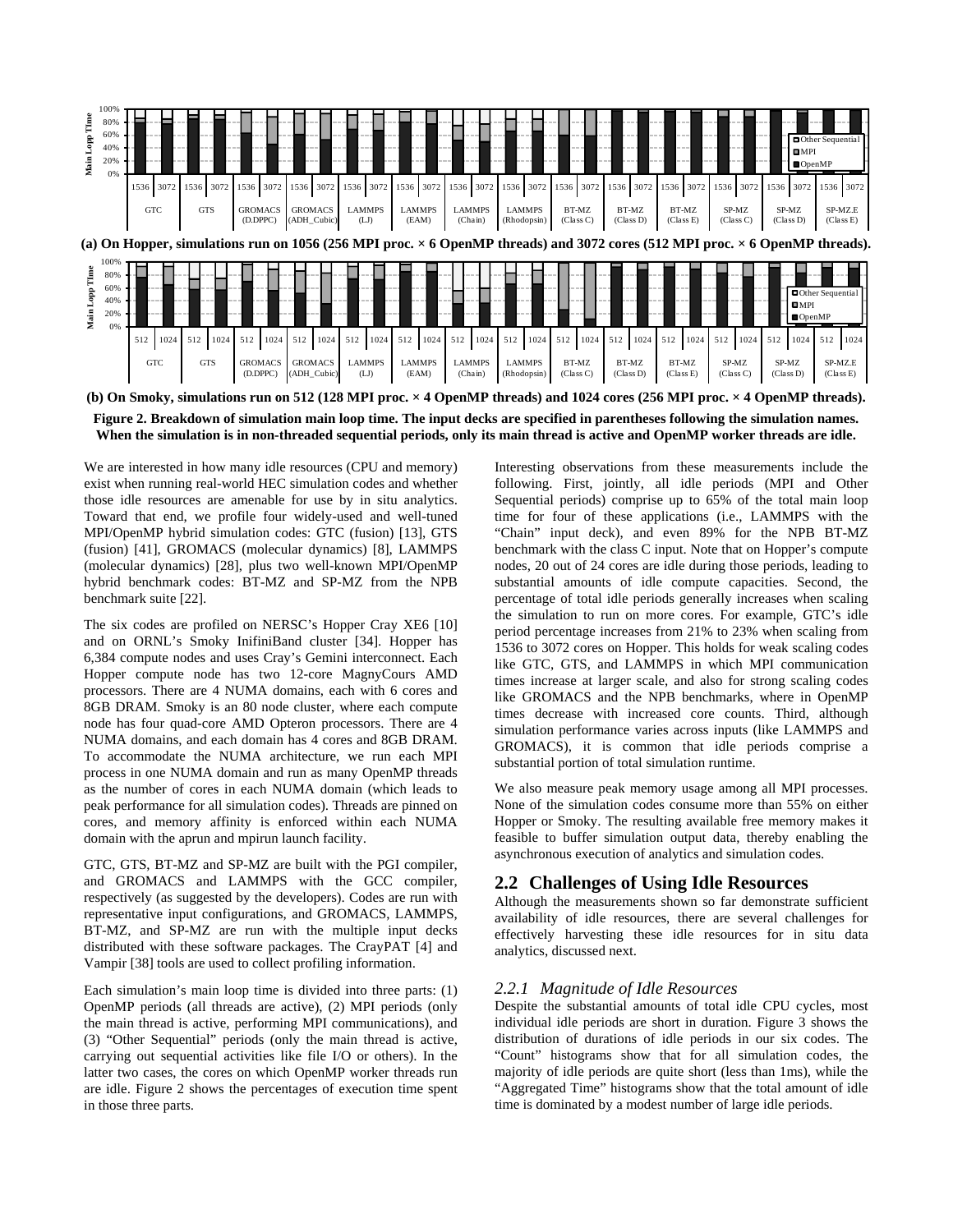

**(b) On Smoky, simulations run on 512 (128 MPI proc. × 4 OpenMP threads) and 1024 cores (256 MPI proc. × 4 OpenMP threads).**



We are interested in how many idle resources (CPU and memory) exist when running real-world HEC simulation codes and whether those idle resources are amenable for use by in situ analytics. Toward that end, we profile four widely-used and well-tuned MPI/OpenMP hybrid simulation codes: GTC (fusion) [\[13\],](#page-10-4) GTS (fusion) [\[41\],](#page-11-1) GROMACS (molecular dynamics) [\[8\],](#page-10-5) LAMMPS (molecular dynamics) [\[28\],](#page-11-6) plus two well-known MPI/OpenMP hybrid benchmark codes: BT-MZ and SP-MZ from the NPB benchmark suite [\[22\].](#page-11-7) 

The six codes are profiled on NERSC's Hopper Cray XE6 [\[10\]](#page-10-6) and on ORNL's Smoky InifiniBand cluster [\[34\].](#page-11-8) Hopper has 6,384 compute nodes and uses Cray's Gemini interconnect. Each Hopper compute node has two 12-core MagnyCours AMD processors. There are 4 NUMA domains, each with 6 cores and 8GB DRAM. Smoky is an 80 node cluster, where each compute node has four quad-core AMD Opteron processors. There are 4 NUMA domains, and each domain has 4 cores and 8GB DRAM. To accommodate the NUMA architecture, we run each MPI process in one NUMA domain and run as many OpenMP threads as the number of cores in each NUMA domain (which leads to peak performance for all simulation codes). Threads are pinned on cores, and memory affinity is enforced within each NUMA domain with the aprun and mpirun launch facility.

GTC, GTS, BT-MZ and SP-MZ are built with the PGI compiler, and GROMACS and LAMMPS with the GCC compiler, respectively (as suggested by the developers). Codes are run with representative input configurations, and GROMACS, LAMMPS, BT-MZ, and SP-MZ are run with the multiple input decks distributed with these software packages. The CrayPAT [\[4\]](#page-10-7) and Vampi[r \[38\]](#page-11-9) tools are used to collect profiling information.

Each simulation's main loop time is divided into three parts: (1) OpenMP periods (all threads are active), (2) MPI periods (only the main thread is active, performing MPI communications), and (3) "Other Sequential" periods (only the main thread is active, carrying out sequential activities like file I/O or others). In the latter two cases, the cores on which OpenMP worker threads run are idle. Figure 2 shows the percentages of execution time spent in those three parts.

Interesting observations from these measurements include the following. First, jointly, all idle periods (MPI and Other Sequential periods) comprise up to 65% of the total main loop time for four of these applications (i.e., LAMMPS with the "Chain" input deck), and even 89% for the NPB BT-MZ benchmark with the class C input. Note that on Hopper's compute nodes, 20 out of 24 cores are idle during those periods, leading to substantial amounts of idle compute capacities. Second, the percentage of total idle periods generally increases when scaling the simulation to run on more cores. For example, GTC's idle period percentage increases from 21% to 23% when scaling from 1536 to 3072 cores on Hopper. This holds for weak scaling codes like GTC, GTS, and LAMMPS in which MPI communication times increase at larger scale, and also for strong scaling codes like GROMACS and the NPB benchmarks, where in OpenMP times decrease with increased core counts. Third, although simulation performance varies across inputs (like LAMMPS and GROMACS), it is common that idle periods comprise a substantial portion of total simulation runtime.

We also measure peak memory usage among all MPI processes. None of the simulation codes consume more than 55% on either Hopper or Smoky. The resulting available free memory makes it feasible to buffer simulation output data, thereby enabling the asynchronous execution of analytics and simulation codes.

# **2.2 Challenges of Using Idle Resources**

Although the measurements shown so far demonstrate sufficient availability of idle resources, there are several challenges for effectively harvesting these idle resources for in situ data analytics, discussed next.

## *2.2.1 Magnitude of Idle Resources*

Despite the substantial amounts of total idle CPU cycles, most individual idle periods are short in duration. Figure 3 shows the distribution of durations of idle periods in our six codes. The "Count" histograms show that for all simulation codes, the majority of idle periods are quite short (less than 1ms), while the "Aggregated Time" histograms show that the total amount of idle time is dominated by a modest number of large idle periods.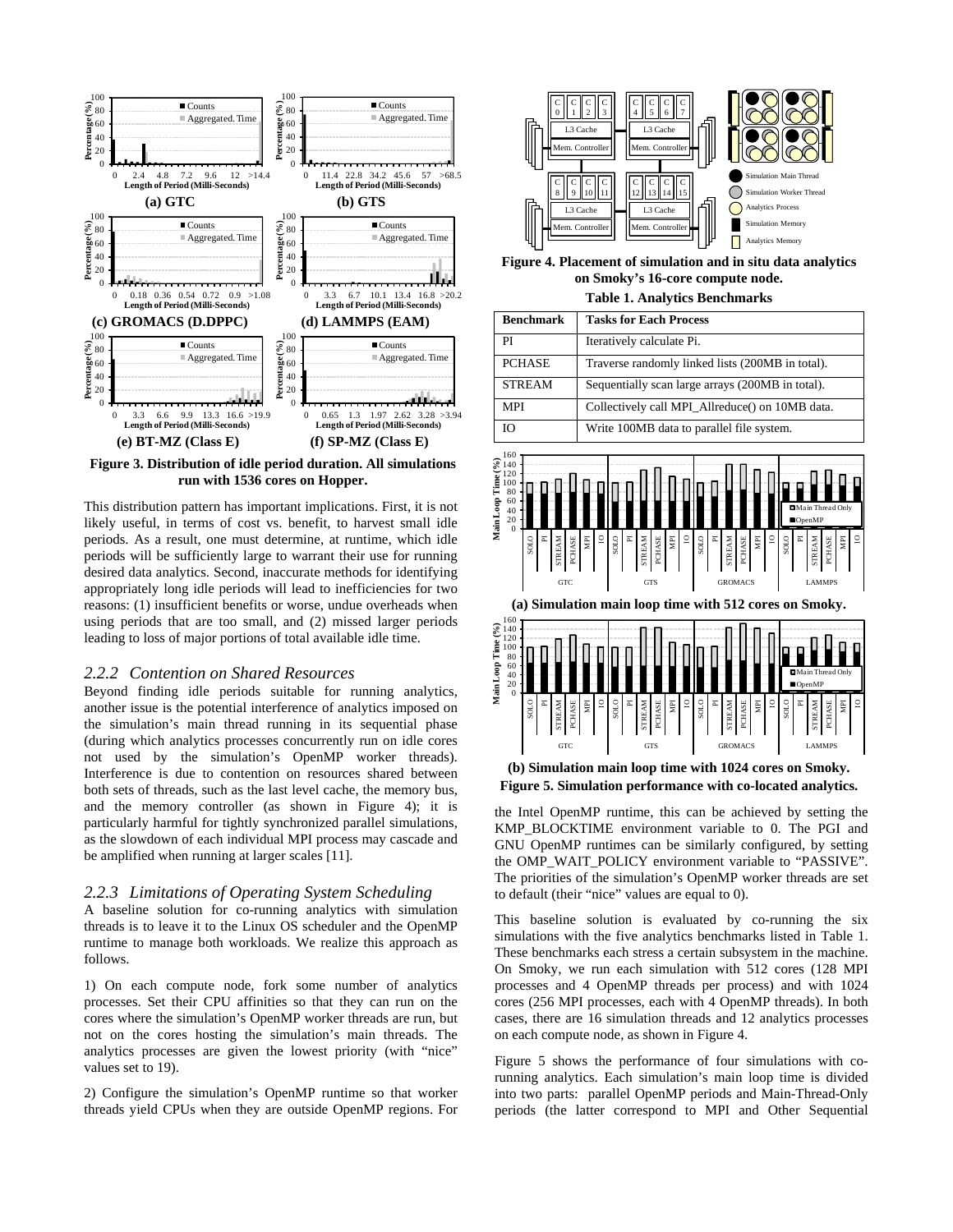

**Figure 3. Distribution of idle period duration. All simulations run with 1536 cores on Hopper.**

This distribution pattern has important implications. First, it is not likely useful, in terms of cost vs. benefit, to harvest small idle periods. As a result, one must determine, at runtime, which idle periods will be sufficiently large to warrant their use for running desired data analytics. Second, inaccurate methods for identifying appropriately long idle periods will lead to inefficiencies for two reasons: (1) insufficient benefits or worse, undue overheads when using periods that are too small, and (2) missed larger periods leading to loss of major portions of total available idle time.

#### *2.2.2 Contention on Shared Resources*

Beyond finding idle periods suitable for running analytics, another issue is the potential interference of analytics imposed on the simulation's main thread running in its sequential phase (during which analytics processes concurrently run on idle cores not used by the simulation's OpenMP worker threads). Interference is due to contention on resources shared between both sets of threads, such as the last level cache, the memory bus, and the memory controller (as shown in Figure 4); it is particularly harmful for tightly synchronized parallel simulations, as the slowdown of each individual MPI process may cascade and be amplified when running at larger scales [\[11\].](#page-10-8) 

#### *2.2.3 Limitations of Operating System Scheduling*

A baseline solution for co-running analytics with simulation threads is to leave it to the Linux OS scheduler and the OpenMP runtime to manage both workloads. We realize this approach as follows.

1) On each compute node, fork some number of analytics processes. Set their CPU affinities so that they can run on the cores where the simulation's OpenMP worker threads are run, but not on the cores hosting the simulation's main threads. The analytics processes are given the lowest priority (with "nice" values set to 19).

2) Configure the simulation's OpenMP runtime so that worker threads yield CPUs when they are outside OpenMP regions. For



**Figure 4. Placement of simulation and in situ data analytics on Smoky's 16-core compute node.**

**Table 1. Analytics Benchmarks**

| <b>Benchmark</b> | <b>Tasks for Each Process</b>                    |
|------------------|--------------------------------------------------|
| PI               | Iteratively calculate Pi.                        |
| <b>PCHASE</b>    | Traverse randomly linked lists (200MB in total). |
| <b>STREAM</b>    | Sequentially scan large arrays (200MB in total). |
| <b>MPI</b>       | Collectively call MPI Allreduce() on 10MB data.  |
| IΟ               | Write 100MB data to parallel file system.        |







**Figure 5. Simulation performance with co-located analytics.** 

the Intel OpenMP runtime, this can be achieved by setting the KMP\_BLOCKTIME environment variable to 0. The PGI and GNU OpenMP runtimes can be similarly configured, by setting the OMP\_WAIT\_POLICY environment variable to "PASSIVE". The priorities of the simulation's OpenMP worker threads are set to default (their "nice" values are equal to 0).

This baseline solution is evaluated by co-running the six simulations with the five analytics benchmarks listed in Table 1. These benchmarks each stress a certain subsystem in the machine. On Smoky, we run each simulation with 512 cores (128 MPI processes and 4 OpenMP threads per process) and with 1024 cores (256 MPI processes, each with 4 OpenMP threads). In both cases, there are 16 simulation threads and 12 analytics processes on each compute node, as shown in Figure 4.

Figure 5 shows the performance of four simulations with corunning analytics. Each simulation's main loop time is divided into two parts: parallel OpenMP periods and Main-Thread-Only periods (the latter correspond to MPI and Other Sequential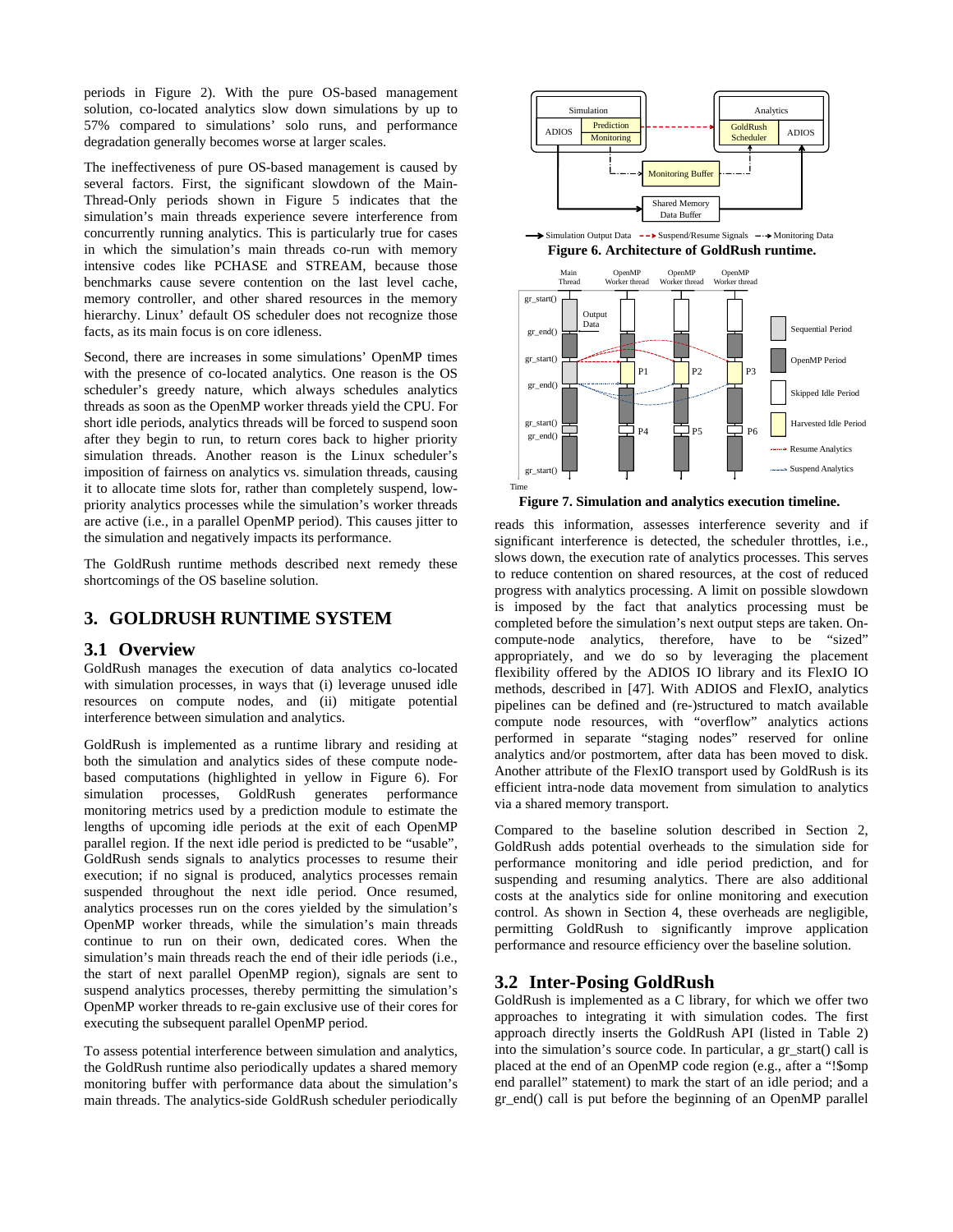periods in Figure 2). With the pure OS-based management solution, co-located analytics slow down simulations by up to 57% compared to simulations' solo runs, and performance degradation generally becomes worse at larger scales.

The ineffectiveness of pure OS-based management is caused by several factors. First, the significant slowdown of the Main-Thread-Only periods shown in Figure 5 indicates that the simulation's main threads experience severe interference from concurrently running analytics. This is particularly true for cases in which the simulation's main threads co-run with memory intensive codes like PCHASE and STREAM, because those benchmarks cause severe contention on the last level cache, memory controller, and other shared resources in the memory hierarchy. Linux' default OS scheduler does not recognize those facts, as its main focus is on core idleness.

Second, there are increases in some simulations' OpenMP times with the presence of co-located analytics. One reason is the OS scheduler's greedy nature, which always schedules analytics threads as soon as the OpenMP worker threads yield the CPU. For short idle periods, analytics threads will be forced to suspend soon after they begin to run, to return cores back to higher priority simulation threads. Another reason is the Linux scheduler's imposition of fairness on analytics vs. simulation threads, causing it to allocate time slots for, rather than completely suspend, lowpriority analytics processes while the simulation's worker threads are active (i.e., in a parallel OpenMP period). This causes jitter to the simulation and negatively impacts its performance.

The GoldRush runtime methods described next remedy these shortcomings of the OS baseline solution.

# **3. GOLDRUSH RUNTIME SYSTEM**

## **3.1 Overview**

GoldRush manages the execution of data analytics co-located with simulation processes, in ways that (i) leverage unused idle resources on compute nodes, and (ii) mitigate potential interference between simulation and analytics.

GoldRush is implemented as a runtime library and residing at both the simulation and analytics sides of these compute nodebased computations (highlighted in yellow in Figure 6). For simulation processes, GoldRush generates performance monitoring metrics used by a prediction module to estimate the lengths of upcoming idle periods at the exit of each OpenMP parallel region. If the next idle period is predicted to be "usable", GoldRush sends signals to analytics processes to resume their execution; if no signal is produced, analytics processes remain suspended throughout the next idle period. Once resumed, analytics processes run on the cores yielded by the simulation's OpenMP worker threads, while the simulation's main threads continue to run on their own, dedicated cores. When the simulation's main threads reach the end of their idle periods (i.e., the start of next parallel OpenMP region), signals are sent to suspend analytics processes, thereby permitting the simulation's OpenMP worker threads to re-gain exclusive use of their cores for executing the subsequent parallel OpenMP period.

To assess potential interference between simulation and analytics, the GoldRush runtime also periodically updates a shared memory monitoring buffer with performance data about the simulation's main threads. The analytics-side GoldRush scheduler periodically



**Figure 6. Architecture of GoldRush runtime.**



**Figure 7. Simulation and analytics execution timeline.**

reads this information, assesses interference severity and if significant interference is detected, the scheduler throttles, i.e., slows down, the execution rate of analytics processes. This serves to reduce contention on shared resources, at the cost of reduced progress with analytics processing. A limit on possible slowdown is imposed by the fact that analytics processing must be completed before the simulation's next output steps are taken. Oncompute-node analytics, therefore, have to be "sized" appropriately, and we do so by leveraging the placement flexibility offered by the ADIOS IO library and its FlexIO IO methods, described in [47]. With ADIOS and FlexIO, analytics pipelines can be defined and (re-)structured to match available compute node resources, with "overflow" analytics actions performed in separate "staging nodes" reserved for online analytics and/or postmortem, after data has been moved to disk. Another attribute of the FlexIO transport used by GoldRush is its efficient intra-node data movement from simulation to analytics via a shared memory transport.

Compared to the baseline solution described in Section 2, GoldRush adds potential overheads to the simulation side for performance monitoring and idle period prediction, and for suspending and resuming analytics. There are also additional costs at the analytics side for online monitoring and execution control. As shown in Section 4, these overheads are negligible, permitting GoldRush to significantly improve application performance and resource efficiency over the baseline solution.

# **3.2 Inter-Posing GoldRush**

GoldRush is implemented as a C library, for which we offer two approaches to integrating it with simulation codes. The first approach directly inserts the GoldRush API (listed in Table 2) into the simulation's source code. In particular, a gr\_start() call is placed at the end of an OpenMP code region (e.g., after a "!\$omp end parallel" statement) to mark the start of an idle period; and a gr\_end() call is put before the beginning of an OpenMP parallel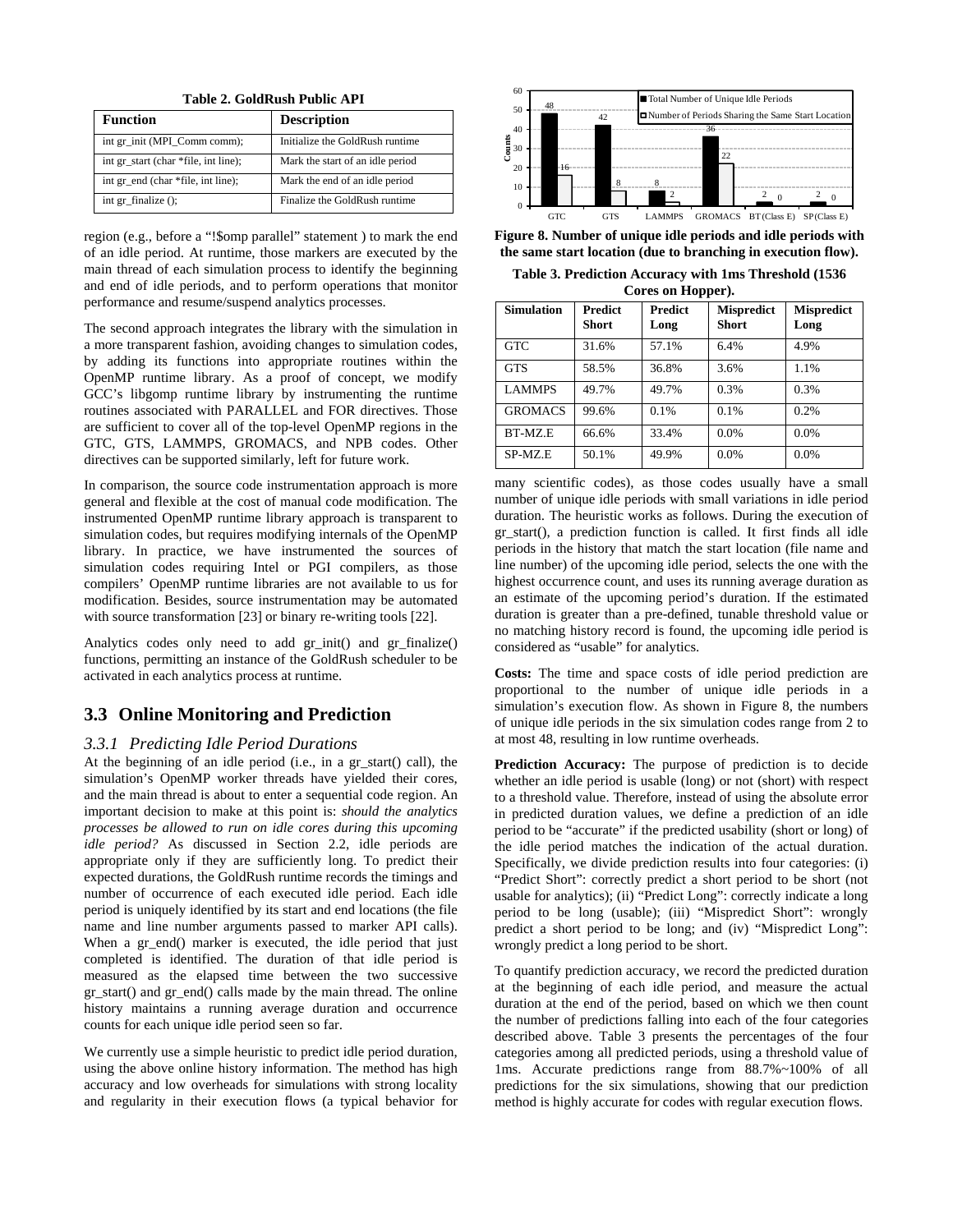**Table 2. GoldRush Public API**

| <b>Function</b>                      | <b>Description</b>               |  |
|--------------------------------------|----------------------------------|--|
| int gr_init (MPI_Comm comm);         | Initialize the GoldRush runtime  |  |
| int gr start (char *file, int line); | Mark the start of an idle period |  |
| int gr_end (char *file, int line);   | Mark the end of an idle period   |  |
| int gr_finalize ();                  | Finalize the GoldRush runtime    |  |

region (e.g., before a "!\$omp parallel" statement ) to mark the end of an idle period. At runtime, those markers are executed by the main thread of each simulation process to identify the beginning and end of idle periods, and to perform operations that monitor performance and resume/suspend analytics processes.

The second approach integrates the library with the simulation in a more transparent fashion, avoiding changes to simulation codes, by adding its functions into appropriate routines within the OpenMP runtime library. As a proof of concept, we modify GCC's libgomp runtime library by instrumenting the runtime routines associated with PARALLEL and FOR directives. Those are sufficient to cover all of the top-level OpenMP regions in the GTC, GTS, LAMMPS, GROMACS, and NPB codes. Other directives can be supported similarly, left for future work.

In comparison, the source code instrumentation approach is more general and flexible at the cost of manual code modification. The instrumented OpenMP runtime library approach is transparent to simulation codes, but requires modifying internals of the OpenMP library. In practice, we have instrumented the sources of simulation codes requiring Intel or PGI compilers, as those compilers' OpenMP runtime libraries are not available to us for modification. Besides, source instrumentation may be automated with source transformation [23] or binary re-writing tools [22].

Analytics codes only need to add gr\_init() and gr\_finalize() functions, permitting an instance of the GoldRush scheduler to be activated in each analytics process at runtime.

## **3.3 Online Monitoring and Prediction**

## *3.3.1 Predicting Idle Period Durations*

At the beginning of an idle period (i.e., in a gr\_start() call), the simulation's OpenMP worker threads have yielded their cores, and the main thread is about to enter a sequential code region. An important decision to make at this point is: *should the analytics processes be allowed to run on idle cores during this upcoming idle period?* As discussed in Section 2.2, idle periods are appropriate only if they are sufficiently long. To predict their expected durations, the GoldRush runtime records the timings and number of occurrence of each executed idle period. Each idle period is uniquely identified by its start and end locations (the file name and line number arguments passed to marker API calls). When a gr\_end() marker is executed, the idle period that just completed is identified. The duration of that idle period is measured as the elapsed time between the two successive gr\_start() and gr\_end() calls made by the main thread. The online history maintains a running average duration and occurrence counts for each unique idle period seen so far.

We currently use a simple heuristic to predict idle period duration, using the above online history information. The method has high accuracy and low overheads for simulations with strong locality and regularity in their execution flows (a typical behavior for



**Figure 8. Number of unique idle periods and idle periods with the same start location (due to branching in execution flow).** 

**Table 3. Prediction Accuracy with 1ms Threshold (1536 Cores on Hopper).**

| <b>Simulation</b> | <b>Predict</b><br><b>Short</b> | <b>Predict</b><br>Long | <b>Mispredict</b><br><b>Short</b> | <b>Mispredict</b><br>Long |  |
|-------------------|--------------------------------|------------------------|-----------------------------------|---------------------------|--|
| <b>GTC</b>        | 31.6%                          | 57.1%                  | 6.4%                              | 4.9%                      |  |
| <b>GTS</b>        | 58.5%                          | 36.8%                  | 3.6%                              | 1.1%                      |  |
| <b>LAMMPS</b>     | 49.7%                          | 49.7%                  | 0.3%                              | 0.3%                      |  |
| <b>GROMACS</b>    | 99.6%                          | 0.1%                   | 0.1%                              | 0.2%                      |  |
| BT-MZ.E           | 66.6%                          | 33.4%                  | 0.0%                              | 0.0%                      |  |
| SP-MZ.E           | 50.1%                          | 49.9%                  | 0.0%                              | 0.0%                      |  |

many scientific codes), as those codes usually have a small number of unique idle periods with small variations in idle period duration. The heuristic works as follows. During the execution of gr\_start(), a prediction function is called. It first finds all idle periods in the history that match the start location (file name and line number) of the upcoming idle period, selects the one with the highest occurrence count, and uses its running average duration as an estimate of the upcoming period's duration. If the estimated duration is greater than a pre-defined, tunable threshold value or no matching history record is found, the upcoming idle period is considered as "usable" for analytics.

**Costs:** The time and space costs of idle period prediction are proportional to the number of unique idle periods in a simulation's execution flow. As shown in Figure 8, the numbers of unique idle periods in the six simulation codes range from 2 to at most 48, resulting in low runtime overheads.

**Prediction Accuracy:** The purpose of prediction is to decide whether an idle period is usable (long) or not (short) with respect to a threshold value. Therefore, instead of using the absolute error in predicted duration values, we define a prediction of an idle period to be "accurate" if the predicted usability (short or long) of the idle period matches the indication of the actual duration. Specifically, we divide prediction results into four categories: (i) "Predict Short": correctly predict a short period to be short (not usable for analytics); (ii) "Predict Long": correctly indicate a long period to be long (usable); (iii) "Mispredict Short": wrongly predict a short period to be long; and (iv) "Mispredict Long": wrongly predict a long period to be short.

To quantify prediction accuracy, we record the predicted duration at the beginning of each idle period, and measure the actual duration at the end of the period, based on which we then count the number of predictions falling into each of the four categories described above. Table 3 presents the percentages of the four categories among all predicted periods, using a threshold value of 1ms. Accurate predictions range from 88.7%~100% of all predictions for the six simulations, showing that our prediction method is highly accurate for codes with regular execution flows.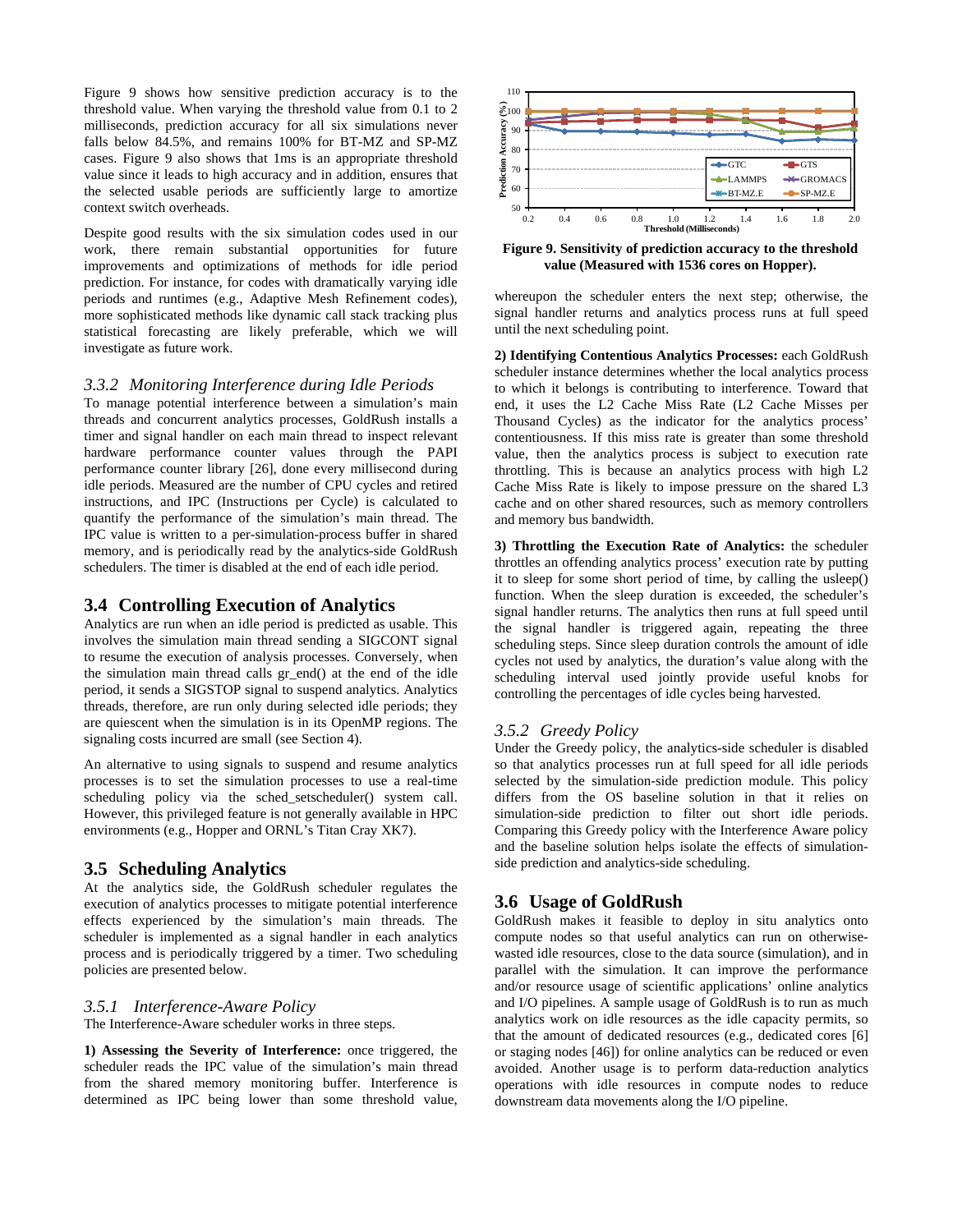Figure 9 shows how sensitive prediction accuracy is to the threshold value. When varying the threshold value from 0.1 to 2 milliseconds, prediction accuracy for all six simulations never falls below 84.5%, and remains 100% for BT-MZ and SP-MZ cases. Figure 9 also shows that 1ms is an appropriate threshold value since it leads to high accuracy and in addition, ensures that the selected usable periods are sufficiently large to amortize context switch overheads.

Despite good results with the six simulation codes used in our work, there remain substantial opportunities for future improvements and optimizations of methods for idle period prediction. For instance, for codes with dramatically varying idle periods and runtimes (e.g., Adaptive Mesh Refinement codes), more sophisticated methods like dynamic call stack tracking plus statistical forecasting are likely preferable, which we will investigate as future work.

## *3.3.2 Monitoring Interference during Idle Periods*

To manage potential interference between a simulation's main threads and concurrent analytics processes, GoldRush installs a timer and signal handler on each main thread to inspect relevant hardware performance counter values through the PAPI performance counter library [26], done every millisecond during idle periods. Measured are the number of CPU cycles and retired instructions, and IPC (Instructions per Cycle) is calculated to quantify the performance of the simulation's main thread. The IPC value is written to a per-simulation-process buffer in shared memory, and is periodically read by the analytics-side GoldRush schedulers. The timer is disabled at the end of each idle period.

## **3.4 Controlling Execution of Analytics**

Analytics are run when an idle period is predicted as usable. This involves the simulation main thread sending a SIGCONT signal to resume the execution of analysis processes. Conversely, when the simulation main thread calls gr\_end() at the end of the idle period, it sends a SIGSTOP signal to suspend analytics. Analytics threads, therefore, are run only during selected idle periods; they are quiescent when the simulation is in its OpenMP regions. The signaling costs incurred are small (see Section 4).

An alternative to using signals to suspend and resume analytics processes is to set the simulation processes to use a real-time scheduling policy via the sched\_setscheduler() system call. However, this privileged feature is not generally available in HPC environments (e.g., Hopper and ORNL's Titan Cray XK7).

## **3.5 Scheduling Analytics**

At the analytics side, the GoldRush scheduler regulates the execution of analytics processes to mitigate potential interference effects experienced by the simulation's main threads. The scheduler is implemented as a signal handler in each analytics process and is periodically triggered by a timer. Two scheduling policies are presented below.

#### *3.5.1 Interference-Aware Policy*

The Interference-Aware scheduler works in three steps.

**1) Assessing the Severity of Interference:** once triggered, the scheduler reads the IPC value of the simulation's main thread from the shared memory monitoring buffer. Interference is determined as IPC being lower than some threshold value,



**Figure 9. Sensitivity of prediction accuracy to the threshold value (Measured with 1536 cores on Hopper).**

whereupon the scheduler enters the next step; otherwise, the signal handler returns and analytics process runs at full speed until the next scheduling point.

**2) Identifying Contentious Analytics Processes:** each GoldRush scheduler instance determines whether the local analytics process to which it belongs is contributing to interference. Toward that end, it uses the L2 Cache Miss Rate (L2 Cache Misses per Thousand Cycles) as the indicator for the analytics process' contentiousness. If this miss rate is greater than some threshold value, then the analytics process is subject to execution rate throttling. This is because an analytics process with high L2 Cache Miss Rate is likely to impose pressure on the shared L3 cache and on other shared resources, such as memory controllers and memory bus bandwidth.

**3) Throttling the Execution Rate of Analytics:** the scheduler throttles an offending analytics process' execution rate by putting it to sleep for some short period of time, by calling the usleep() function. When the sleep duration is exceeded, the scheduler's signal handler returns. The analytics then runs at full speed until the signal handler is triggered again, repeating the three scheduling steps. Since sleep duration controls the amount of idle cycles not used by analytics, the duration's value along with the scheduling interval used jointly provide useful knobs for controlling the percentages of idle cycles being harvested.

#### *3.5.2 Greedy Policy*

Under the Greedy policy, the analytics-side scheduler is disabled so that analytics processes run at full speed for all idle periods selected by the simulation-side prediction module. This policy differs from the OS baseline solution in that it relies on simulation-side prediction to filter out short idle periods. Comparing this Greedy policy with the Interference Aware policy and the baseline solution helps isolate the effects of simulationside prediction and analytics-side scheduling.

## **3.6 Usage of GoldRush**

GoldRush makes it feasible to deploy in situ analytics onto compute nodes so that useful analytics can run on otherwisewasted idle resources, close to the data source (simulation), and in parallel with the simulation. It can improve the performance and/or resource usage of scientific applications' online analytics and I/O pipelines. A sample usage of GoldRush is to run as much analytics work on idle resources as the idle capacity permits, so that the amount of dedicated resources (e.g., dedicated cores [\[6\]](#page-10-9) or staging nodes [\[46\]\)](#page-11-5) for online analytics can be reduced or even avoided. Another usage is to perform data-reduction analytics operations with idle resources in compute nodes to reduce downstream data movements along the I/O pipeline.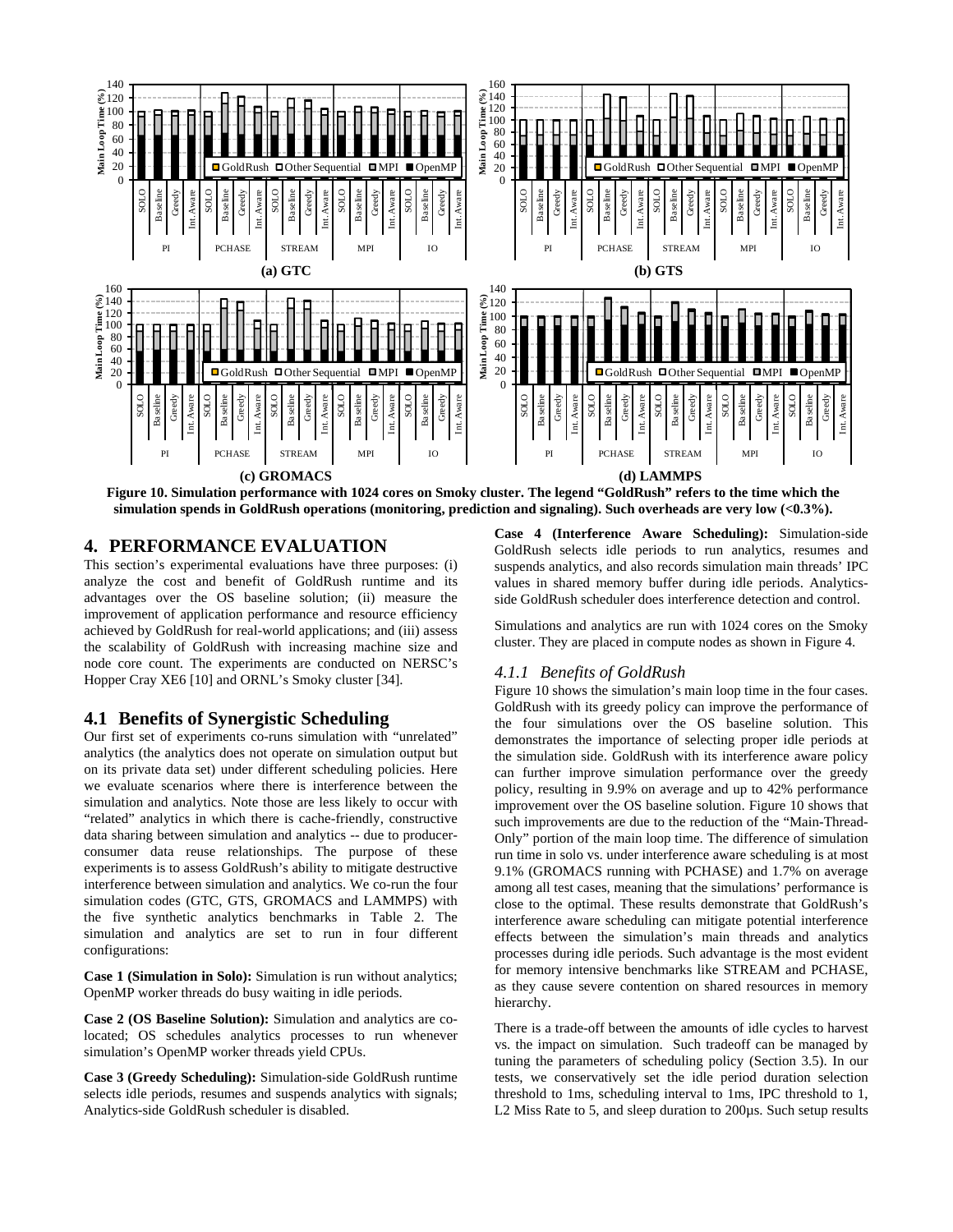

**Figure 10. Simulation performance with 1024 cores on Smoky cluster. The legend "GoldRush" refers to the time which the simulation spends in GoldRush operations (monitoring, prediction and signaling). Such overheads are very low (<0.3%).** 

# **4. PERFORMANCE EVALUATION**

This section's experimental evaluations have three purposes: (i) analyze the cost and benefit of GoldRush runtime and its advantages over the OS baseline solution; (ii) measure the improvement of application performance and resource efficiency achieved by GoldRush for real-world applications; and (iii) assess the scalability of GoldRush with increasing machine size and node core count. The experiments are conducted on NERSC's Hopper Cray XE6 [\[10\]](#page-10-6) and ORNL's Smoky cluster [\[34\].](#page-11-8)

## **4.1 Benefits of Synergistic Scheduling**

Our first set of experiments co-runs simulation with "unrelated" analytics (the analytics does not operate on simulation output but on its private data set) under different scheduling policies. Here we evaluate scenarios where there is interference between the simulation and analytics. Note those are less likely to occur with "related" analytics in which there is cache-friendly, constructive data sharing between simulation and analytics -- due to producerconsumer data reuse relationships. The purpose of these experiments is to assess GoldRush's ability to mitigate destructive interference between simulation and analytics. We co-run the four simulation codes (GTC, GTS, GROMACS and LAMMPS) with the five synthetic analytics benchmarks in Table 2. The simulation and analytics are set to run in four different configurations:

**Case 1 (Simulation in Solo):** Simulation is run without analytics; OpenMP worker threads do busy waiting in idle periods.

**Case 2 (OS Baseline Solution):** Simulation and analytics are colocated; OS schedules analytics processes to run whenever simulation's OpenMP worker threads yield CPUs.

**Case 3 (Greedy Scheduling):** Simulation-side GoldRush runtime selects idle periods, resumes and suspends analytics with signals; Analytics-side GoldRush scheduler is disabled.

**Case 4 (Interference Aware Scheduling):** Simulation-side GoldRush selects idle periods to run analytics, resumes and suspends analytics, and also records simulation main threads' IPC values in shared memory buffer during idle periods. Analyticsside GoldRush scheduler does interference detection and control.

Simulations and analytics are run with 1024 cores on the Smoky cluster. They are placed in compute nodes as shown in Figure 4.

#### *4.1.1 Benefits of GoldRush*

Figure 10 shows the simulation's main loop time in the four cases. GoldRush with its greedy policy can improve the performance of the four simulations over the OS baseline solution. This demonstrates the importance of selecting proper idle periods at the simulation side. GoldRush with its interference aware policy can further improve simulation performance over the greedy policy, resulting in 9.9% on average and up to 42% performance improvement over the OS baseline solution. Figure 10 shows that such improvements are due to the reduction of the "Main-Thread-Only" portion of the main loop time. The difference of simulation run time in solo vs. under interference aware scheduling is at most 9.1% (GROMACS running with PCHASE) and 1.7% on average among all test cases, meaning that the simulations' performance is close to the optimal. These results demonstrate that GoldRush's interference aware scheduling can mitigate potential interference effects between the simulation's main threads and analytics processes during idle periods. Such advantage is the most evident for memory intensive benchmarks like STREAM and PCHASE, as they cause severe contention on shared resources in memory hierarchy.

There is a trade-off between the amounts of idle cycles to harvest vs. the impact on simulation. Such tradeoff can be managed by tuning the parameters of scheduling policy (Section 3.5). In our tests, we conservatively set the idle period duration selection threshold to 1ms, scheduling interval to 1ms, IPC threshold to 1, L2 Miss Rate to 5, and sleep duration to 200µs. Such setup results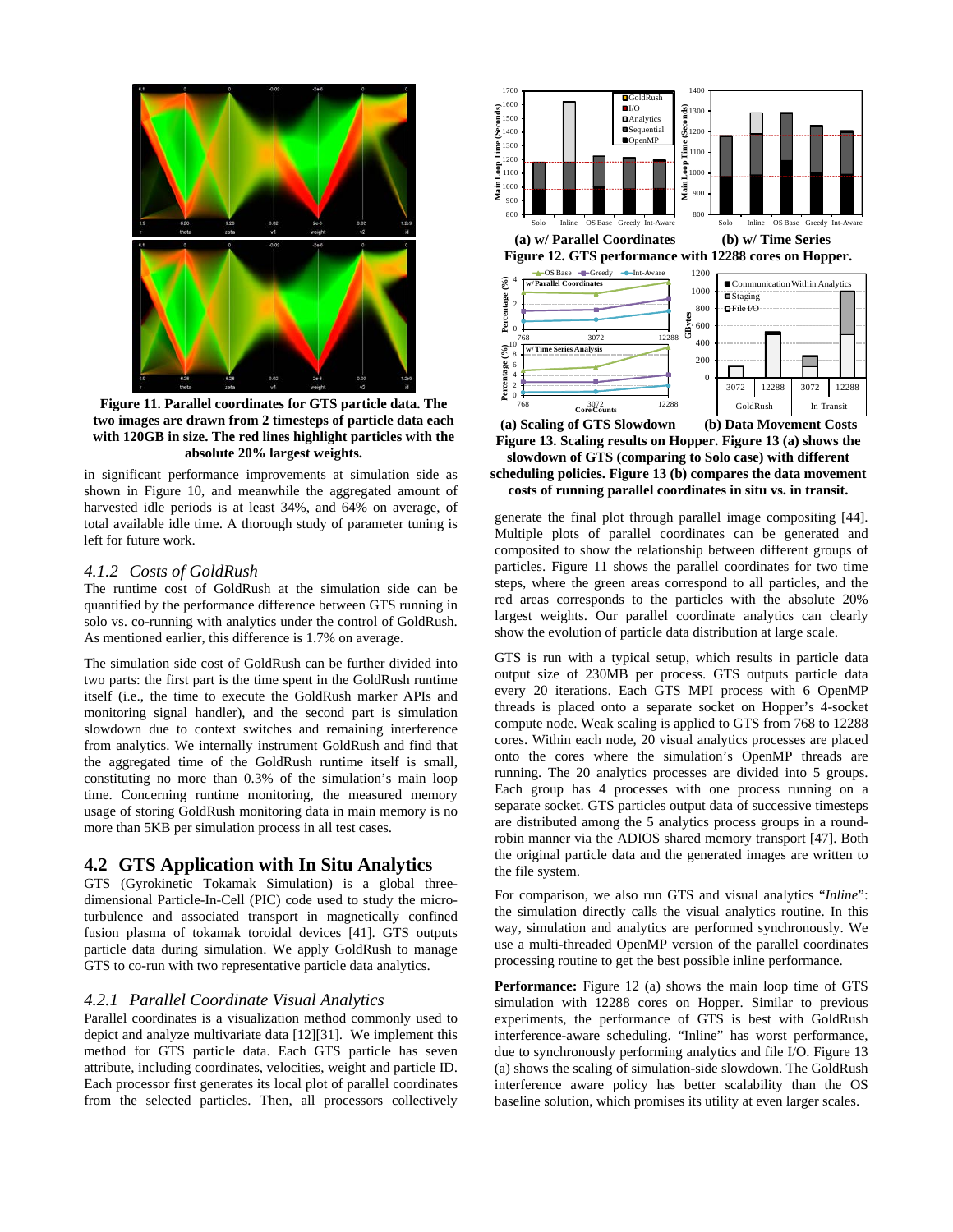

**Figure 11. Parallel coordinates for GTS particle data. The two images are drawn from 2 timesteps of particle data each with 120GB in size. The red lines highlight particles with the absolute 20% largest weights.**

in significant performance improvements at simulation side as shown in Figure 10, and meanwhile the aggregated amount of harvested idle periods is at least 34%, and 64% on average, of total available idle time. A thorough study of parameter tuning is left for future work.

#### *4.1.2 Costs of GoldRush*

The runtime cost of GoldRush at the simulation side can be quantified by the performance difference between GTS running in solo vs. co-running with analytics under the control of GoldRush. As mentioned earlier, this difference is 1.7% on average.

The simulation side cost of GoldRush can be further divided into two parts: the first part is the time spent in the GoldRush runtime itself (i.e., the time to execute the GoldRush marker APIs and monitoring signal handler), and the second part is simulation slowdown due to context switches and remaining interference from analytics. We internally instrument GoldRush and find that the aggregated time of the GoldRush runtime itself is small, constituting no more than 0.3% of the simulation's main loop time. Concerning runtime monitoring, the measured memory usage of storing GoldRush monitoring data in main memory is no more than 5KB per simulation process in all test cases.

#### **4.2 GTS Application with In Situ Analytics**

GTS (Gyrokinetic Tokamak Simulation) is a global threedimensional Particle-In-Cell (PIC) code used to study the microturbulence and associated transport in magnetically confined fusion plasma of tokamak toroidal devices [\[41\].](#page-11-1) GTS outputs particle data during simulation. We apply GoldRush to manage GTS to co-run with two representative particle data analytics.

#### *4.2.1 Parallel Coordinate Visual Analytics*

Parallel coordinates is a visualization method commonly used to depict and analyze multivariate data [\[12\]\[31\].](#page-10-10) We implement this method for GTS particle data. Each GTS particle has seven attribute, including coordinates, velocities, weight and particle ID. Each processor first generates its local plot of parallel coordinates from the selected particles. Then, all processors collectively



 **(a) Scaling of GTS Slowdown (b) Data Movement Costs Figure 13. Scaling results on Hopper. Figure 13 (a) shows the slowdown of GTS (comparing to Solo case) with different scheduling policies. Figure 13 (b) compares the data movement costs of running parallel coordinates in situ vs. in transit.**

generate the final plot through parallel image compositing [\[44\].](#page-11-10)  Multiple plots of parallel coordinates can be generated and composited to show the relationship between different groups of particles. Figure 11 shows the parallel coordinates for two time steps, where the green areas correspond to all particles, and the red areas corresponds to the particles with the absolute 20% largest weights. Our parallel coordinate analytics can clearly show the evolution of particle data distribution at large scale.

GTS is run with a typical setup, which results in particle data output size of 230MB per process. GTS outputs particle data every 20 iterations. Each GTS MPI process with 6 OpenMP threads is placed onto a separate socket on Hopper's 4-socket compute node. Weak scaling is applied to GTS from 768 to 12288 cores. Within each node, 20 visual analytics processes are placed onto the cores where the simulation's OpenMP threads are running. The 20 analytics processes are divided into 5 groups. Each group has 4 processes with one process running on a separate socket. GTS particles output data of successive timesteps are distributed among the 5 analytics process groups in a roundrobin manner via the ADIOS shared memory transport [\[47\].](#page-11-4) Both the original particle data and the generated images are written to the file system.

For comparison, we also run GTS and visual analytics "*Inline*": the simulation directly calls the visual analytics routine. In this way, simulation and analytics are performed synchronously. We use a multi-threaded OpenMP version of the parallel coordinates processing routine to get the best possible inline performance.

**Performance:** Figure 12 (a) shows the main loop time of GTS simulation with 12288 cores on Hopper. Similar to previous experiments, the performance of GTS is best with GoldRush interference-aware scheduling. "Inline" has worst performance, due to synchronously performing analytics and file I/O. Figure 13 (a) shows the scaling of simulation-side slowdown. The GoldRush interference aware policy has better scalability than the OS baseline solution, which promises its utility at even larger scales.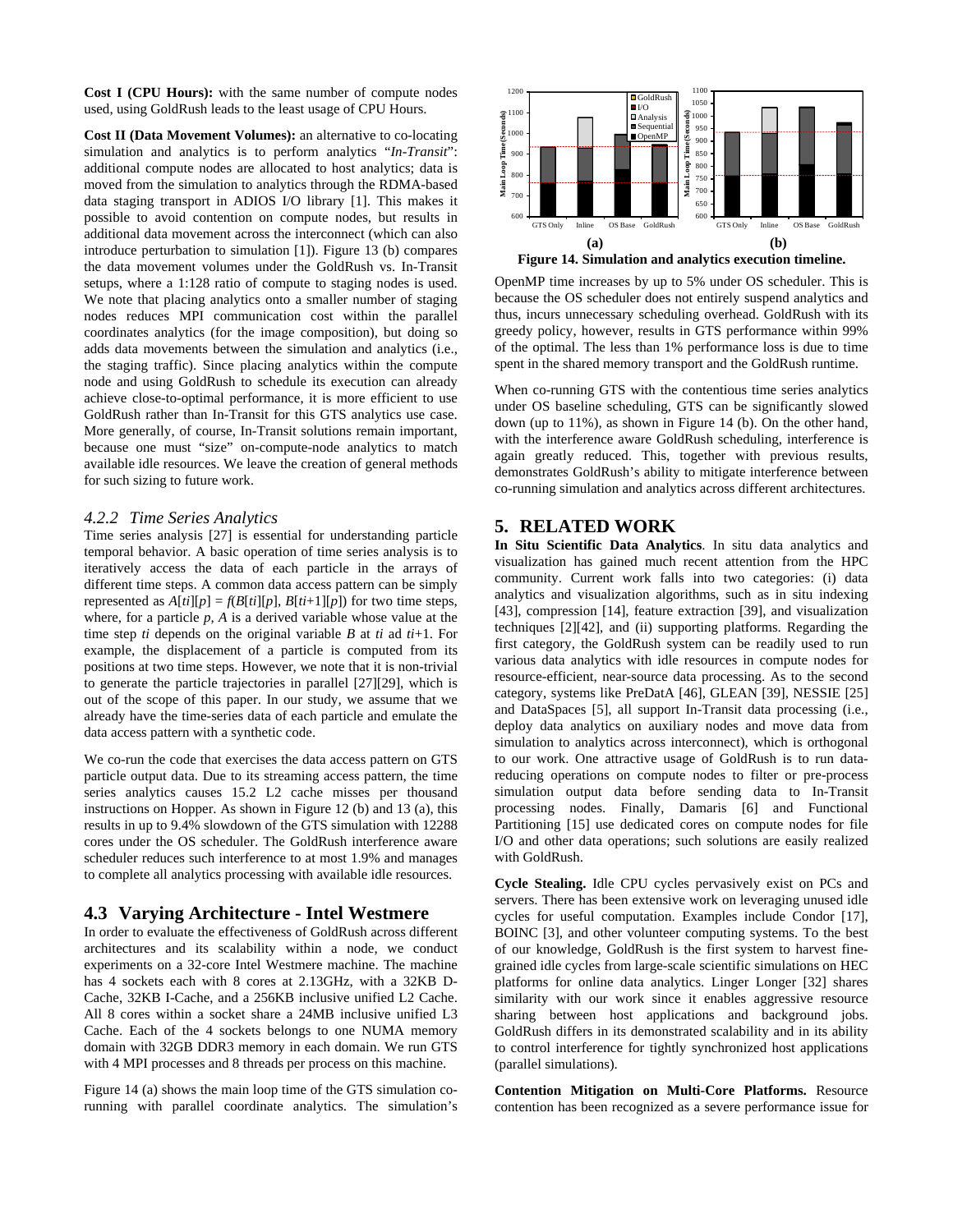**Cost I (CPU Hours):** with the same number of compute nodes used, using GoldRush leads to the least usage of CPU Hours.

**Cost II (Data Movement Volumes):** an alternative to co-locating simulation and analytics is to perform analytics "*In-Transit*": additional compute nodes are allocated to host analytics; data is moved from the simulation to analytics through the RDMA-based data staging transport in ADIOS I/O library [\[1\].](#page-10-2) This makes it possible to avoid contention on compute nodes, but results in additional data movement across the interconnect (which can also introduce perturbation to simulation [\[1\]\)](#page-10-2). Figure 13 (b) compares the data movement volumes under the GoldRush vs. In-Transit setups, where a 1:128 ratio of compute to staging nodes is used. We note that placing analytics onto a smaller number of staging nodes reduces MPI communication cost within the parallel coordinates analytics (for the image composition), but doing so adds data movements between the simulation and analytics (i.e., the staging traffic). Since placing analytics within the compute node and using GoldRush to schedule its execution can already achieve close-to-optimal performance, it is more efficient to use GoldRush rather than In-Transit for this GTS analytics use case. More generally, of course, In-Transit solutions remain important, because one must "size" on-compute-node analytics to match available idle resources. We leave the creation of general methods for such sizing to future work.

#### *4.2.2 Time Series Analytics*

Time series analysis [\[27\]](#page-11-11) is essential for understanding particle temporal behavior. A basic operation of time series analysis is to iteratively access the data of each particle in the arrays of different time steps. A common data access pattern can be simply represented as  $A[ti][p] = f(B[ti][p], B[ti+1][p])$  for two time steps, where, for a particle  $p$ ,  $A$  is a derived variable whose value at the time step *ti* depends on the original variable *B* at *ti* ad *ti*+1. For example, the displacement of a particle is computed from its positions at two time steps. However, we note that it is non-trivial to generate the particle trajectories in parallel [\[27\]\[29\],](#page-11-12) which is out of the scope of this paper. In our study, we assume that we already have the time-series data of each particle and emulate the data access pattern with a synthetic code.

We co-run the code that exercises the data access pattern on GTS particle output data. Due to its streaming access pattern, the time series analytics causes 15.2 L2 cache misses per thousand instructions on Hopper. As shown in Figure 12 (b) and 13 (a), this results in up to 9.4% slowdown of the GTS simulation with 12288 cores under the OS scheduler. The GoldRush interference aware scheduler reduces such interference to at most 1.9% and manages to complete all analytics processing with available idle resources.

## **4.3 Varying Architecture - Intel Westmere**

In order to evaluate the effectiveness of GoldRush across different architectures and its scalability within a node, we conduct experiments on a 32-core Intel Westmere machine. The machine has 4 sockets each with 8 cores at 2.13GHz, with a 32KB D-Cache, 32KB I-Cache, and a 256KB inclusive unified L2 Cache. All 8 cores within a socket share a 24MB inclusive unified L3 Cache. Each of the 4 sockets belongs to one NUMA memory domain with 32GB DDR3 memory in each domain. We run GTS with 4 MPI processes and 8 threads per process on this machine.

Figure 14 (a) shows the main loop time of the GTS simulation corunning with parallel coordinate analytics. The simulation's



OpenMP time increases by up to 5% under OS scheduler. This is because the OS scheduler does not entirely suspend analytics and thus, incurs unnecessary scheduling overhead. GoldRush with its greedy policy, however, results in GTS performance within 99% of the optimal. The less than 1% performance loss is due to time spent in the shared memory transport and the GoldRush runtime.

When co-running GTS with the contentious time series analytics under OS baseline scheduling, GTS can be significantly slowed down (up to 11%), as shown in Figure 14 (b). On the other hand, with the interference aware GoldRush scheduling, interference is again greatly reduced. This, together with previous results, demonstrates GoldRush's ability to mitigate interference between co-running simulation and analytics across different architectures.

## **5. RELATED WORK**

**In Situ Scientific Data Analytics**. In situ data analytics and visualization has gained much recent attention from the HPC community. Current work falls into two categories: (i) data analytics and visualization algorithms, such as in situ indexing [\[43\],](#page-11-13) compression [\[14\],](#page-11-14) feature extraction [\[39\],](#page-11-2) and visualization techniques [\[2\]\[42\],](#page-10-1) and (ii) supporting platforms. Regarding the first category, the GoldRush system can be readily used to run various data analytics with idle resources in compute nodes for resource-efficient, near-source data processing. As to the second category, systems like PreDatA [\[46\],](#page-11-5) GLEAN [\[39\],](#page-11-2) NESSIE [\[25\]](#page-11-15) and DataSpaces [\[5\],](#page-10-11) all support In-Transit data processing (i.e., deploy data analytics on auxiliary nodes and move data from simulation to analytics across interconnect), which is orthogonal to our work. One attractive usage of GoldRush is to run datareducing operations on compute nodes to filter or pre-process simulation output data before sending data to In-Transit processing nodes. Finally, Damaris [6] and Functional Partitioning [15] use dedicated cores on compute nodes for file I/O and other data operations; such solutions are easily realized with GoldRush.

**Cycle Stealing.** Idle CPU cycles pervasively exist on PCs and servers. There has been extensive work on leveraging unused idle cycles for useful computation. Examples include Condor [\[17\],](#page-11-16) BOINC [\[3\],](#page-10-12) and other volunteer computing systems. To the best of our knowledge, GoldRush is the first system to harvest finegrained idle cycles from large-scale scientific simulations on HEC platforms for online data analytics. Linger Longer [\[32\]](#page-11-17) shares similarity with our work since it enables aggressive resource sharing between host applications and background jobs. GoldRush differs in its demonstrated scalability and in its ability to control interference for tightly synchronized host applications (parallel simulations).

**Contention Mitigation on Multi-Core Platforms.** Resource contention has been recognized as a severe performance issue for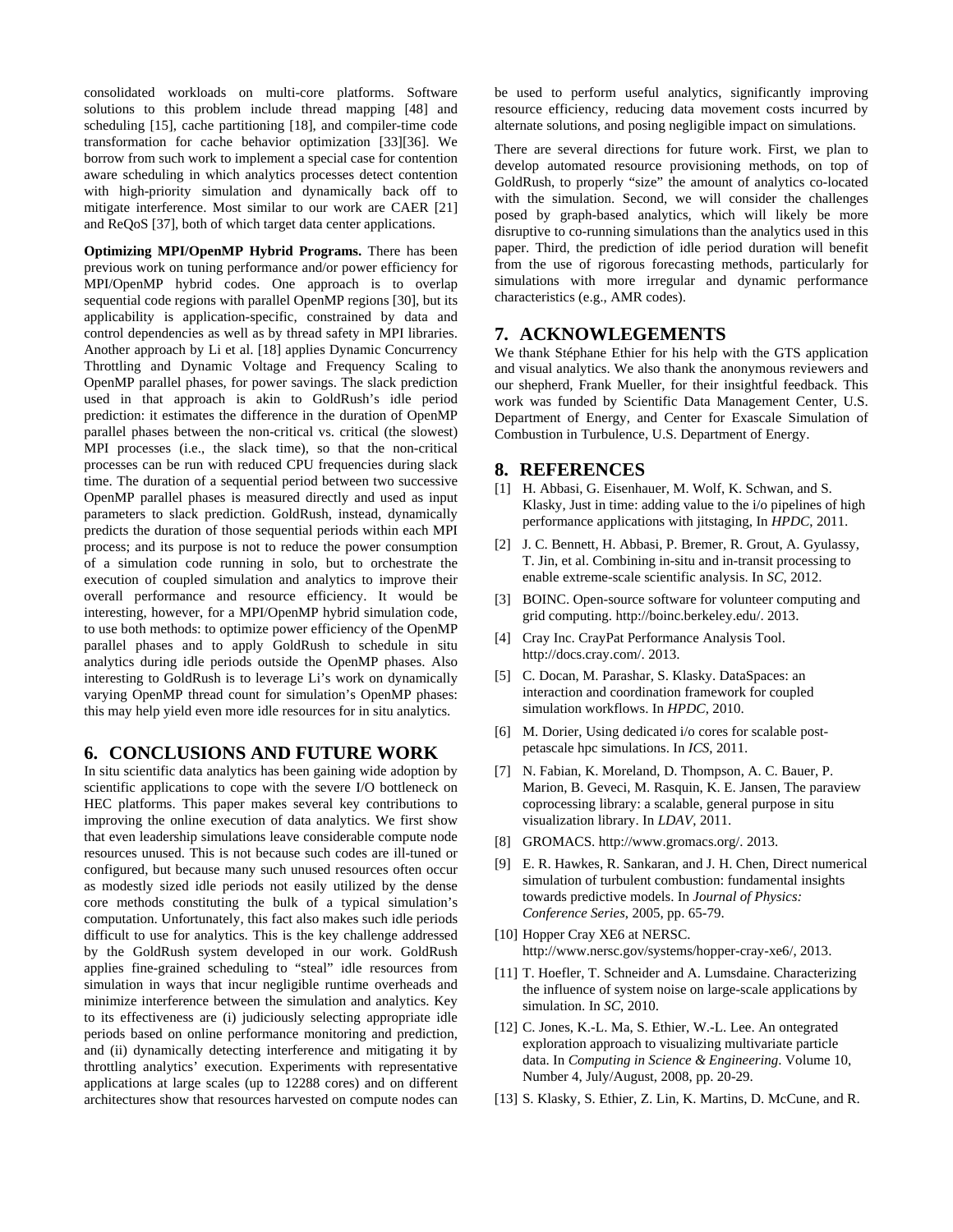consolidated workloads on multi-core platforms. Software solutions to this problem include thread mapping [\[48\]](#page-11-18) and scheduling [\[15\],](#page-11-19) cache partitioning [\[18\],](#page-11-20) and compiler-time code transformation for cache behavior optimization [\[33\]\[36\].](#page-11-21) We borrow from such work to implement a special case for contention aware scheduling in which analytics processes detect contention with high-priority simulation and dynamically back off to mitigate interference. Most similar to our work are CAER [\[21\]](#page-11-22) and ReQoS [\[37\],](#page-11-23) both of which target data center applications.

**Optimizing MPI/OpenMP Hybrid Programs.** There has been previous work on tuning performance and/or power efficiency for MPI/OpenMP hybrid codes. One approach is to overlap sequential code regions with parallel OpenMP region[s \[30\],](#page-11-24) but its applicability is application-specific, constrained by data and control dependencies as well as by thread safety in MPI libraries. Another approach by Li et al. [18] applies Dynamic Concurrency Throttling and Dynamic Voltage and Frequency Scaling to OpenMP parallel phases, for power savings. The slack prediction used in that approach is akin to GoldRush's idle period prediction: it estimates the difference in the duration of OpenMP parallel phases between the non-critical vs. critical (the slowest) MPI processes (i.e., the slack time), so that the non-critical processes can be run with reduced CPU frequencies during slack time. The duration of a sequential period between two successive OpenMP parallel phases is measured directly and used as input parameters to slack prediction. GoldRush, instead, dynamically predicts the duration of those sequential periods within each MPI process; and its purpose is not to reduce the power consumption of a simulation code running in solo, but to orchestrate the execution of coupled simulation and analytics to improve their overall performance and resource efficiency. It would be interesting, however, for a MPI/OpenMP hybrid simulation code, to use both methods: to optimize power efficiency of the OpenMP parallel phases and to apply GoldRush to schedule in situ analytics during idle periods outside the OpenMP phases. Also interesting to GoldRush is to leverage Li's work on dynamically varying OpenMP thread count for simulation's OpenMP phases: this may help yield even more idle resources for in situ analytics.

## **6. CONCLUSIONS AND FUTURE WORK**

In situ scientific data analytics has been gaining wide adoption by scientific applications to cope with the severe I/O bottleneck on HEC platforms. This paper makes several key contributions to improving the online execution of data analytics. We first show that even leadership simulations leave considerable compute node resources unused. This is not because such codes are ill-tuned or configured, but because many such unused resources often occur as modestly sized idle periods not easily utilized by the dense core methods constituting the bulk of a typical simulation's computation. Unfortunately, this fact also makes such idle periods difficult to use for analytics. This is the key challenge addressed by the GoldRush system developed in our work. GoldRush applies fine-grained scheduling to "steal" idle resources from simulation in ways that incur negligible runtime overheads and minimize interference between the simulation and analytics. Key to its effectiveness are (i) judiciously selecting appropriate idle periods based on online performance monitoring and prediction, and (ii) dynamically detecting interference and mitigating it by throttling analytics' execution. Experiments with representative applications at large scales (up to 12288 cores) and on different architectures show that resources harvested on compute nodes can

be used to perform useful analytics, significantly improving resource efficiency, reducing data movement costs incurred by alternate solutions, and posing negligible impact on simulations.

There are several directions for future work. First, we plan to develop automated resource provisioning methods, on top of GoldRush, to properly "size" the amount of analytics co-located with the simulation. Second, we will consider the challenges posed by graph-based analytics, which will likely be more disruptive to co-running simulations than the analytics used in this paper. Third, the prediction of idle period duration will benefit from the use of rigorous forecasting methods, particularly for simulations with more irregular and dynamic performance characteristics (e.g., AMR codes).

#### **7. ACKNOWLEGEMENTS**

We thank Stéphane Ethier for his help with the GTS application and visual analytics. We also thank the anonymous reviewers and our shepherd, Frank Mueller, for their insightful feedback. This work was funded by Scientific Data Management Center, U.S. Department of Energy, and Center for Exascale Simulation of Combustion in Turbulence, U.S. Department of Energy.

#### **8. REFERENCES**

- <span id="page-10-2"></span>[1] H. Abbasi, G. Eisenhauer, M. Wolf, K. Schwan, and S. Klasky, Just in time: adding value to the i/o pipelines of high performance applications with jitstaging, In *HPDC*, 2011.
- <span id="page-10-1"></span>[2] J. C. Bennett, H. Abbasi, P. Bremer, R. Grout, A. Gyulassy, T. Jin, et al. Combining in-situ and in-transit processing to enable extreme-scale scientific analysis. In *SC*, 2012.
- <span id="page-10-12"></span>[3] BOINC. Open-source software for volunteer computing and grid computing. http://boinc.berkeley.edu/. 2013.
- <span id="page-10-7"></span>[4] Cray Inc. CrayPat Performance Analysis Tool. http://docs.cray.com/. 2013.
- <span id="page-10-11"></span>[5] C. Docan, M. Parashar, S. Klasky. DataSpaces: an interaction and coordination framework for coupled simulation workflows. In *HPDC*, 2010.
- <span id="page-10-9"></span>[6] M. Dorier, Using dedicated i/o cores for scalable postpetascale hpc simulations. In *ICS*, 2011.
- <span id="page-10-3"></span>[7] N. Fabian, K. Moreland, D. Thompson, A. C. Bauer, P. Marion, B. Geveci, M. Rasquin, K. E. Jansen, The paraview coprocessing library: a scalable, general purpose in situ visualization library. In *LDAV*, 2011.
- <span id="page-10-5"></span>[8] GROMACS. http://www.gromacs.org/. 2013.
- <span id="page-10-0"></span>[9] E. R. Hawkes, R. Sankaran, and J. H. Chen, Direct numerical simulation of turbulent combustion: fundamental insights towards predictive models. In *Journal of Physics: Conference Series*, 2005, pp. 65-79.
- <span id="page-10-6"></span>[10] Hopper Cray XE6 at NERSC. http://www.nersc.gov/systems/hopper-cray-xe6/, 2013.
- <span id="page-10-8"></span>[11] T. Hoefler, T. Schneider and A. Lumsdaine. Characterizing the influence of system noise on large-scale applications by simulation. In *SC*, 2010.
- <span id="page-10-10"></span>[12] C. Jones, K.-L. Ma, S. Ethier, W.-L. Lee. An ontegrated exploration approach to visualizing multivariate particle data. In *Computing in Science & Engineering*. Volume 10, Number 4, July/August, 2008, pp. 20-29.
- <span id="page-10-4"></span>[13] S. Klasky, S. Ethier, Z. Lin, K. Martins, D. McCune, and R.